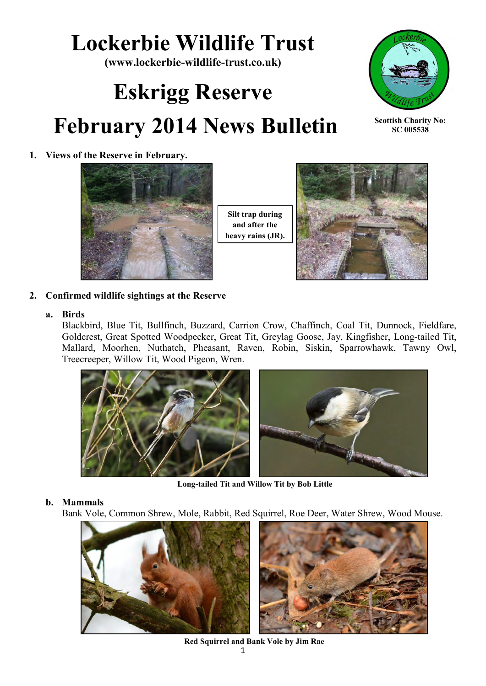# **Lockerbie Wildlife Trust**

**(www.lockerbie-wildlife-trust.co.uk)** 

# **Eskrigg Reserve February 2014 News Bulletin**



**Scottish Charity No: SC 005538**

## **1. Views of the Reserve in February.**



**Silt trap during and after the heavy rains (JR).**



**2. Confirmed wildlife sightings at the Reserve**

## **a. Birds**

Blackbird, Blue Tit, Bullfinch, Buzzard, Carrion Crow, Chaffinch, Coal Tit, Dunnock, Fieldfare, Goldcrest, Great Spotted Woodpecker, Great Tit, Greylag Goose, Jay, Kingfisher, Long-tailed Tit, Mallard, Moorhen, Nuthatch, Pheasant, Raven, Robin, Siskin, Sparrowhawk, Tawny Owl, Treecreeper, Willow Tit, Wood Pigeon, Wren.



**Long-tailed Tit and Willow Tit by Bob Little**

## **b. Mammals**

Bank Vole, Common Shrew, Mole, Rabbit, Red Squirrel, Roe Deer, Water Shrew, Wood Mouse.



**Red Squirrel and Bank Vole by Jim Rae**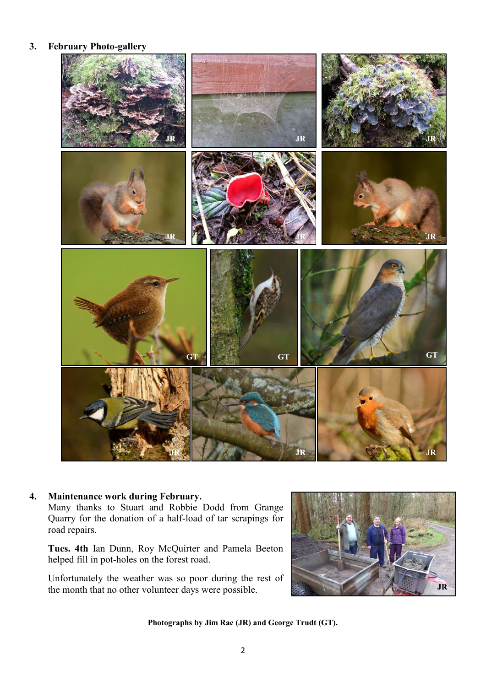#### **3. February Photo-gallery**



#### **4. Maintenance work during February.**

Many thanks to Stuart and Robbie Dodd from Grange Quarry for the donation of a half-load of tar scrapings for road repairs.

**Tues. 4th** Ian Dunn, Roy McQuirter and Pamela Beeton helped fill in pot-holes on the forest road.

Unfortunately the weather was so poor during the rest of the month that no other volunteer days were possible.



**Photographs by Jim Rae (JR) and George Trudt (GT).**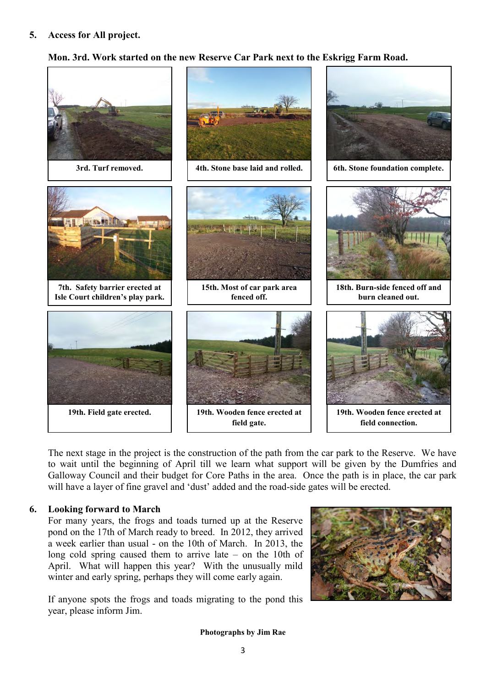## **Mon. 3rd. Work started on the new Reserve Car Park next to the Eskrigg Farm Road.**



The next stage in the project is the construction of the path from the car park to the Reserve. We have to wait until the beginning of April till we learn what support will be given by the Dumfries and Galloway Council and their budget for Core Paths in the area. Once the path is in place, the car park will have a layer of fine gravel and 'dust' added and the road-side gates will be erected.

#### **6. Looking forward to March**

For many years, the frogs and toads turned up at the Reserve pond on the 17th of March ready to breed. In 2012, they arrived a week earlier than usual - on the 10th of March. In 2013, the long cold spring caused them to arrive late – on the 10th of April. What will happen this year? With the unusually mild winter and early spring, perhaps they will come early again.

If anyone spots the frogs and toads migrating to the pond this year, please inform Jim.



**Photographs by Jim Rae**